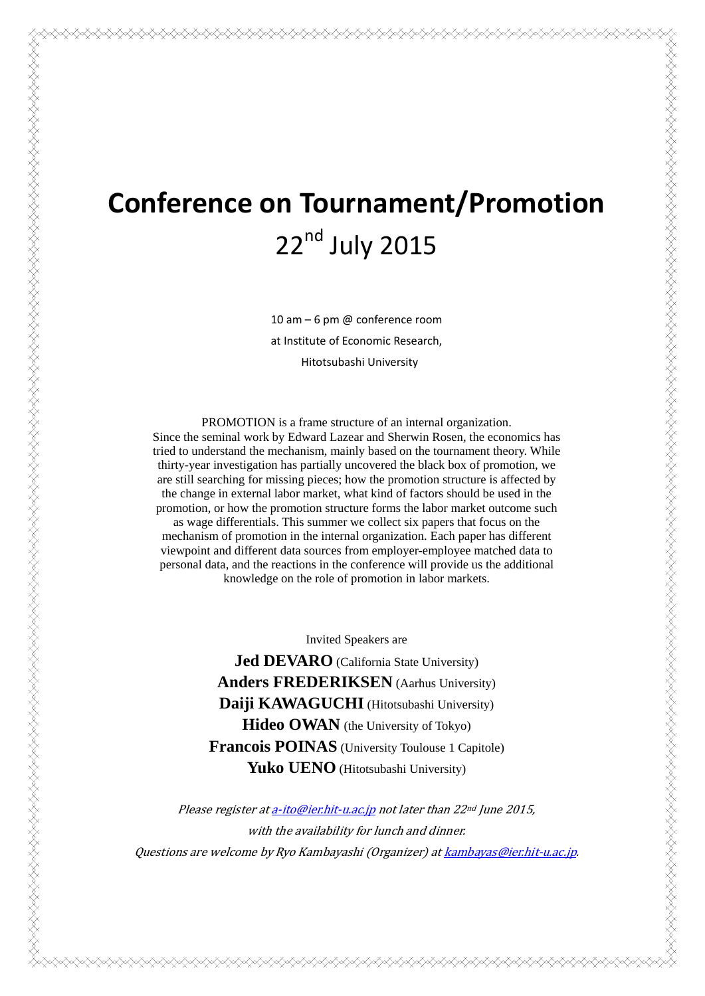# **Conference on Tournament/Promotion** 22<sup>nd</sup> July 2015

10 am – 6 pm @ conference room at Institute of Economic Research, Hitotsubashi University

PROMOTION is a frame structure of an internal organization. Since the seminal work by Edward Lazear and Sherwin Rosen, the economics has tried to understand the mechanism, mainly based on the tournament theory. While thirty-year investigation has partially uncovered the black box of promotion, we are still searching for missing pieces; how the promotion structure is affected by the change in external labor market, what kind of factors should be used in the promotion, or how the promotion structure forms the labor market outcome such as wage differentials. This summer we collect six papers that focus on the mechanism of promotion in the internal organization. Each paper has different viewpoint and different data sources from employer-employee matched data to personal data, and the reactions in the conference will provide us the additional knowledge on the role of promotion in labor markets.

KANAN KANAN KANAN KANAN KANAN KANAN KANAN KANAN KANAN KANAN KANAN KANAN KANAN KANAN KANAN KANAN KANAN KANAN KA

Invited Speakers are

**Jed DEVARO** (California State University) **Anders FREDERIKSEN** (Aarhus University) **Daiji KAWAGUCHI** (Hitotsubashi University) **Hideo OWAN** (the University of Tokyo) **Francois POINAS** (University Toulouse 1 Capitole) Yuko UENO (Hitotsubashi University)

Please register at a-ito@ier.hit-u.ac.jp not later than  $22<sup>nd</sup>$  June 2015, with the availability for lunch and dinner. Questions are welcome by Ryo Kambayashi (Organizer) at kambayas@ier.hit-u.ac.jp.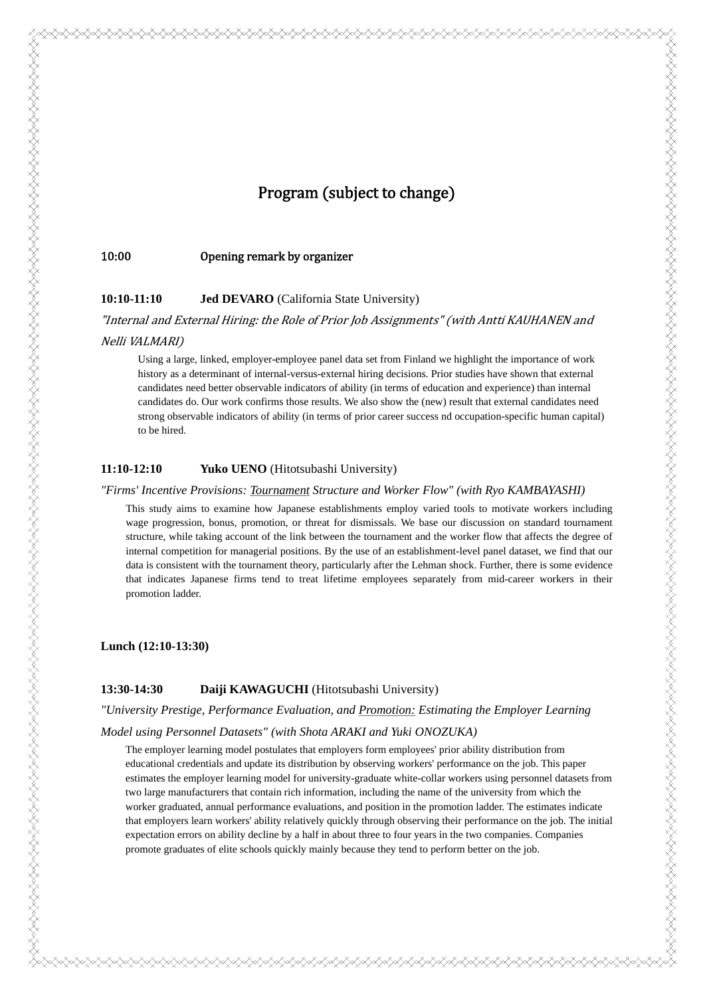# Program (subject to change)

#### 10:00 **Comedity** Opening remark by organizer

#### **10:10-11:10 Jed DEVARO** (California State University)

"Internal and External Hiring: the Role of Prior Job Assignments" (with Antti KAUHANEN and

## Nelli VALMARI)

Using a large, linked, employer-employee panel data set from Finland we highlight the importance of work history as a determinant of internal-versus-external hiring decisions. Prior studies have shown that external candidates need better observable indicators of ability (in terms of education and experience) than internal candidates do. Our work confirms those results. We also show the (new) result that external candidates need strong observable indicators of ability (in terms of prior career success nd occupation-specific human capital) to be hired.

#### **11:10-12:10 Yuko UENO** (Hitotsubashi University)

#### *"Firms' Incentive Provisions: Tournament Structure and Worker Flow" (with Ryo KAMBAYASHI)*

This study aims to examine how Japanese establishments employ varied tools to motivate workers including wage progression, bonus, promotion, or threat for dismissals. We base our discussion on standard tournament structure, while taking account of the link between the tournament and the worker flow that affects the degree of internal competition for managerial positions. By the use of an establishment-level panel dataset, we find that our data is consistent with the tournament theory, particularly after the Lehman shock. Further, there is some evidence that indicates Japanese firms tend to treat lifetime employees separately from mid-career workers in their promotion ladder.

FRANDERS FRANDERS FRANDERS FRANDERS FRANDERS FRANDERS FRANDERS FRANDERS FRANDERS

**Lunch (12:10-13:30)** 

# **13:30-14:30 Daiji KAWAGUCHI** (Hitotsubashi University)

*"University Prestige, Performance Evaluation, and Promotion: Estimating the Employer Learning* 

#### *Model using Personnel Datasets" (with Shota ARAKI and Yuki ONOZUKA)*

The employer learning model postulates that employers form employees' prior ability distribution from educational credentials and update its distribution by observing workers' performance on the job. This paper estimates the employer learning model for university-graduate white-collar workers using personnel datasets from two large manufacturers that contain rich information, including the name of the university from which the worker graduated, annual performance evaluations, and position in the promotion ladder. The estimates indicate that employers learn workers' ability relatively quickly through observing their performance on the job. The initial expectation errors on ability decline by a half in about three to four years in the two companies. Companies promote graduates of elite schools quickly mainly because they tend to perform better on the job.